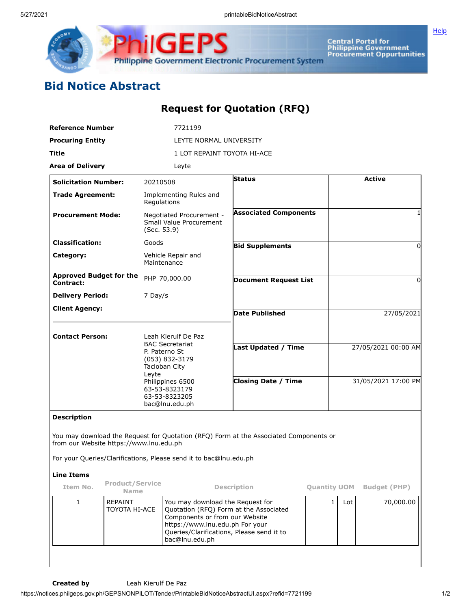

Central Portal for<br>Philippine Government<br>Procurement Oppurtunities

## **Bid Notice Abstract**

## **Request for Quotation (RFQ)**

**Philippine Government Electronic Procurement System** 

**ilGEPS** 

| <b>Solicitation Number:</b><br>20210508<br>Regulations | LEYTE NORMAL UNIVERSITY<br>1 LOT REPAINT TOYOTA HI-ACE<br>Leyte<br>Implementing Rules and<br>Negotiated Procurement - | <b>Status</b>                                                                                                                                                                                                                                                                                                         |                                                                                                                                                                                                                                                                                                                                            |                                                                                                                                            | <b>Active</b>       |                     |
|--------------------------------------------------------|-----------------------------------------------------------------------------------------------------------------------|-----------------------------------------------------------------------------------------------------------------------------------------------------------------------------------------------------------------------------------------------------------------------------------------------------------------------|--------------------------------------------------------------------------------------------------------------------------------------------------------------------------------------------------------------------------------------------------------------------------------------------------------------------------------------------|--------------------------------------------------------------------------------------------------------------------------------------------|---------------------|---------------------|
|                                                        |                                                                                                                       |                                                                                                                                                                                                                                                                                                                       |                                                                                                                                                                                                                                                                                                                                            |                                                                                                                                            |                     |                     |
|                                                        |                                                                                                                       |                                                                                                                                                                                                                                                                                                                       |                                                                                                                                                                                                                                                                                                                                            |                                                                                                                                            |                     |                     |
|                                                        |                                                                                                                       |                                                                                                                                                                                                                                                                                                                       |                                                                                                                                                                                                                                                                                                                                            |                                                                                                                                            |                     |                     |
|                                                        |                                                                                                                       |                                                                                                                                                                                                                                                                                                                       |                                                                                                                                                                                                                                                                                                                                            |                                                                                                                                            |                     |                     |
|                                                        |                                                                                                                       |                                                                                                                                                                                                                                                                                                                       |                                                                                                                                                                                                                                                                                                                                            |                                                                                                                                            |                     |                     |
|                                                        |                                                                                                                       | <b>Associated Components</b>                                                                                                                                                                                                                                                                                          |                                                                                                                                                                                                                                                                                                                                            |                                                                                                                                            |                     | 1                   |
| Goods                                                  |                                                                                                                       |                                                                                                                                                                                                                                                                                                                       |                                                                                                                                                                                                                                                                                                                                            |                                                                                                                                            |                     | 0                   |
|                                                        |                                                                                                                       |                                                                                                                                                                                                                                                                                                                       |                                                                                                                                                                                                                                                                                                                                            |                                                                                                                                            |                     |                     |
| PHP 70,000.00                                          |                                                                                                                       | <b>Document Request List</b>                                                                                                                                                                                                                                                                                          |                                                                                                                                                                                                                                                                                                                                            |                                                                                                                                            |                     | 0                   |
| 7 Day/s                                                |                                                                                                                       |                                                                                                                                                                                                                                                                                                                       |                                                                                                                                                                                                                                                                                                                                            |                                                                                                                                            |                     |                     |
|                                                        |                                                                                                                       |                                                                                                                                                                                                                                                                                                                       |                                                                                                                                                                                                                                                                                                                                            |                                                                                                                                            |                     | 27/05/2021          |
|                                                        |                                                                                                                       |                                                                                                                                                                                                                                                                                                                       |                                                                                                                                                                                                                                                                                                                                            |                                                                                                                                            |                     |                     |
|                                                        |                                                                                                                       |                                                                                                                                                                                                                                                                                                                       |                                                                                                                                                                                                                                                                                                                                            |                                                                                                                                            |                     |                     |
|                                                        |                                                                                                                       |                                                                                                                                                                                                                                                                                                                       |                                                                                                                                                                                                                                                                                                                                            |                                                                                                                                            |                     | 27/05/2021 00:00 AM |
|                                                        |                                                                                                                       |                                                                                                                                                                                                                                                                                                                       |                                                                                                                                                                                                                                                                                                                                            |                                                                                                                                            |                     | 31/05/2021 17:00 PM |
|                                                        |                                                                                                                       |                                                                                                                                                                                                                                                                                                                       |                                                                                                                                                                                                                                                                                                                                            |                                                                                                                                            |                     |                     |
|                                                        |                                                                                                                       |                                                                                                                                                                                                                                                                                                                       |                                                                                                                                                                                                                                                                                                                                            |                                                                                                                                            |                     |                     |
|                                                        |                                                                                                                       |                                                                                                                                                                                                                                                                                                                       |                                                                                                                                                                                                                                                                                                                                            |                                                                                                                                            |                     |                     |
|                                                        |                                                                                                                       |                                                                                                                                                                                                                                                                                                                       |                                                                                                                                                                                                                                                                                                                                            |                                                                                                                                            |                     |                     |
| Name                                                   |                                                                                                                       |                                                                                                                                                                                                                                                                                                                       |                                                                                                                                                                                                                                                                                                                                            |                                                                                                                                            |                     | <b>Budget (PHP)</b> |
|                                                        |                                                                                                                       |                                                                                                                                                                                                                                                                                                                       | $\mathbf{1}$                                                                                                                                                                                                                                                                                                                               | Lot                                                                                                                                        |                     | 70,000.00           |
|                                                        | <b>Approved Budget for the</b><br>Leyte<br><b>Product/Service</b><br><b>REPAINT</b><br><b>TOYOTA HI-ACE</b>           | Small Value Procurement<br>(Sec. 53.9)<br>Vehicle Repair and<br>Maintenance<br>Leah Kierulf De Paz<br><b>BAC Secretariat</b><br>P. Paterno St<br>(053) 832-3179<br>Tacloban City<br>Philippines 6500<br>63-53-8323179<br>63-53-8323205<br>bac@lnu.edu.ph<br>from our Website https://www.lnu.edu.ph<br>bac@lnu.edu.ph | <b>Bid Supplements</b><br><b>Date Published</b><br>For your Queries/Clarifications, Please send it to bac@lnu.edu.ph<br><b>Description</b><br>You may download the Request for<br>Quotation (RFQ) Form at the Associated<br>Components or from our Website<br>https://www.lnu.edu.ph For your<br>Queries/Clarifications, Please send it to | Last Updated / Time<br><b>Closing Date / Time</b><br>You may download the Request for Quotation (RFQ) Form at the Associated Components or | <b>Quantity UOM</b> |                     |